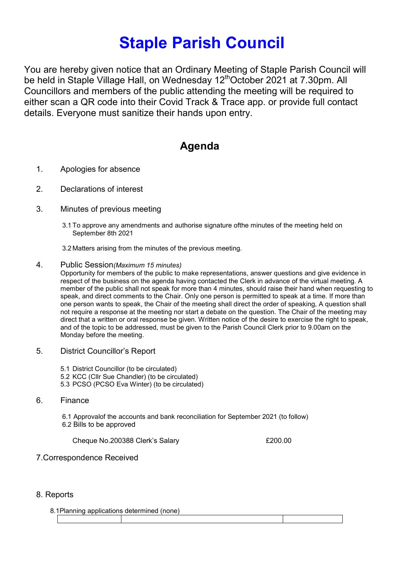## Staple Parish Council

You are hereby given notice that an Ordinary Meeting of Staple Parish Council will be held in Staple Village Hall, on Wednesday 12<sup>th</sup>October 2021 at 7.30pm. All Councillors and members of the public attending the meeting will be required to either scan a QR code into their Covid Track & Trace app. or provide full contact details. Everyone must sanitize their hands upon entry.

## Agenda

- 1. Apologies for absence
- 2. Declarations of interest
- 3. Minutes of previous meeting
	- 3.1 To approve any amendments and authorise signature ofthe minutes of the meeting held on September 8th 2021

3.2 Matters arising from the minutes of the previous meeting.

4. Public Session(Maximum 15 minutes)

Opportunity for members of the public to make representations, answer questions and give evidence in respect of the business on the agenda having contacted the Clerk in advance of the virtual meeting. A member of the public shall not speak for more than 4 minutes, should raise their hand when requesting to speak, and direct comments to the Chair. Only one person is permitted to speak at a time. If more than one person wants to speak, the Chair of the meeting shall direct the order of speaking, A question shall not require a response at the meeting nor start a debate on the question. The Chair of the meeting may direct that a written or oral response be given. Written notice of the desire to exercise the right to speak, and of the topic to be addressed, must be given to the Parish Council Clerk prior to 9.00am on the Monday before the meeting.

- 5. District Councillor's Report
	- 5.1 District Councillor (to be circulated)
	- 5.2 KCC (Cllr Sue Chandler) (to be circulated)
	- 5.3 PCSO (PCSO Eva Winter) (to be circulated)
- 6. Finance

6.1 Approvalof the accounts and bank reconciliation for September 2021 (to follow) 6.2 Bills to be approved

Cheque No.200388 Clerk's Salary £200.00

7.Correspondence Received

## 8. Reports

8.1Planning applications determined (none)